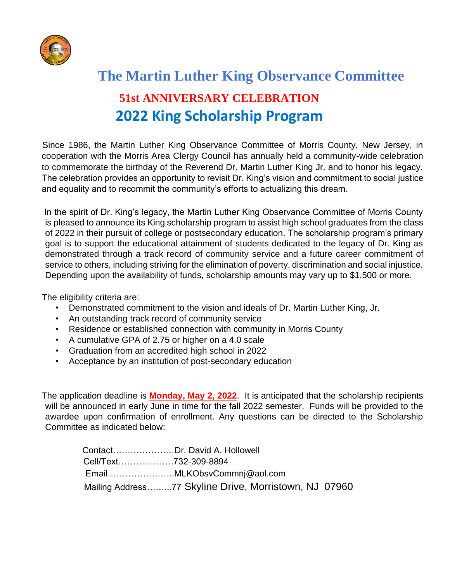

# **The Martin Luther King Observance Committee 51st ANNIVERSARY CELEBRATION 2022 King Scholarship Program**

Since 1986, the Martin Luther King Observance Committee of Morris County, New Jersey, in cooperation with the Morris Area Clergy Council has annually held a community-wide celebration to commemorate the birthday of the Reverend Dr. Martin Luther King Jr. and to honor his legacy. The celebration provides an opportunity to revisit Dr. King's vision and commitment to social justice and equality and to recommit the community's efforts to actualizing this dream.

In the spirit of Dr. King's legacy, the Martin Luther King Observance Committee of Morris County is pleased to announce its King scholarship program to assist high school graduates from the class of 2022 in their pursuit of college or postsecondary education. The scholarship program's primary goal is to support the educational attainment of students dedicated to the legacy of Dr. King as demonstrated through a track record of community service and a future career commitment of service to others, including striving for the elimination of poverty, discrimination and social injustice. Depending upon the availability of funds, scholarship amounts may vary up to \$1,500 or more.

The eligibility criteria are:

- Demonstrated commitment to the vision and ideals of Dr. Martin Luther King, Jr.
- An outstanding track record of community service
- Residence or established connection with community in Morris County
- A cumulative GPA of 2.75 or higher on a 4.0 scale
- Graduation from an accredited high school in 2022
- Acceptance by an institution of post-secondary education

The application deadline is **Monday, May 2, 2022**. It is anticipated that the scholarship recipients will be announced in early June in time for the fall 2022 semester. Funds will be provided to the awardee upon confirmation of enrollment. Any questions can be directed to the Scholarship Committee as indicated below:

|                       | ContactDr. David A. Hollowell                         |  |
|-----------------------|-------------------------------------------------------|--|
| Cell/Text732-309-8894 |                                                       |  |
|                       | EmailMLKObsvCommnj@aol.com                            |  |
|                       | Mailing Address77 Skyline Drive, Morristown, NJ 07960 |  |